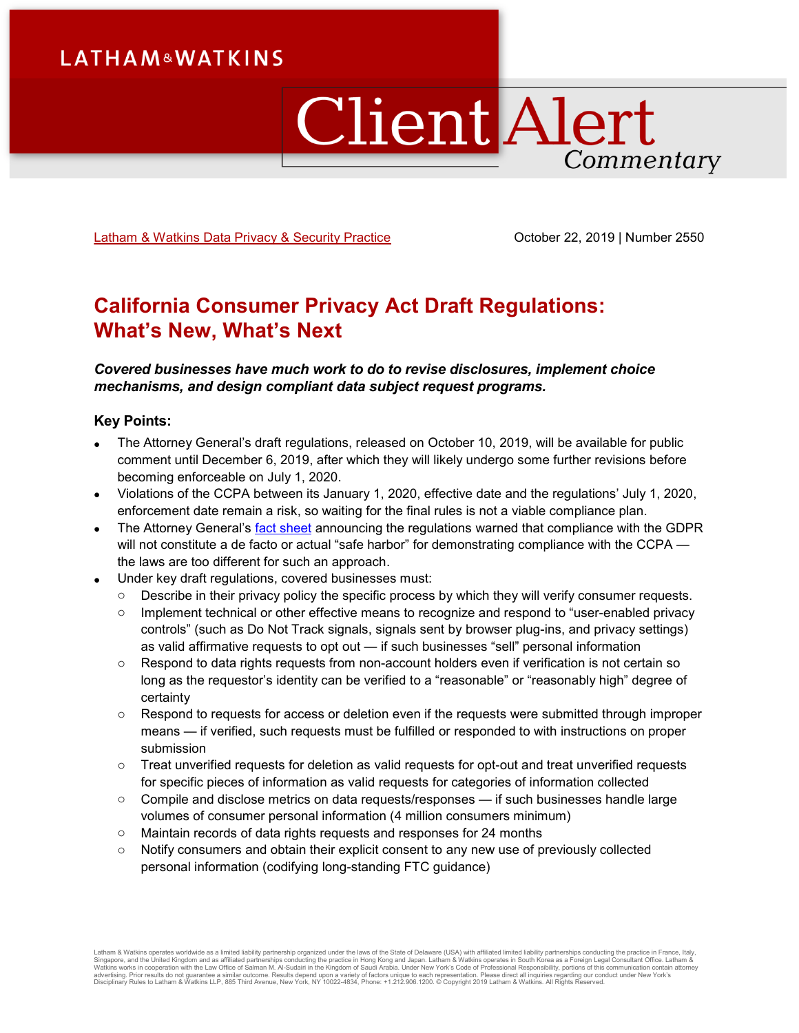# **LATHAM&WATKINS**

# **Client Alert** Commentary

[Latham & Watkins Data Privacy & Security Practice](https://www.lw.com/practices/DataPrivacy-Security) **Canadian Corober 22, 2019** | Number 2550

# **California Consumer Privacy Act Draft Regulations: What's New, What's Next**

*Covered businesses have much work to do to revise disclosures, implement choice mechanisms, and design compliant data subject request programs.*

#### **Key Points:**

- The Attorney General's draft regulations, released on October 10, 2019, will be available for public comment until December 6, 2019, after which they will likely undergo some further revisions before becoming enforceable on July 1, 2020.
- Violations of the CCPA between its January 1, 2020, effective date and the regulations' July 1, 2020, enforcement date remain a risk, so waiting for the final rules is not a viable compliance plan.
- The Attorney General's **[fact sheet](https://www.oag.ca.gov/system/files/attachments/press_releases/CCPA%20Fact%20Sheet%20%2800000002%29.pdf) announcing the regulations warned that compliance with the GDPR** will not constitute a de facto or actual "safe harbor" for demonstrating compliance with the CCPA the laws are too different for such an approach.
- Under key draft regulations, covered businesses must:
	- o Describe in their privacy policy the specific process by which they will verify consumer requests.
	- o Implement technical or other effective means to recognize and respond to "user-enabled privacy controls" (such as Do Not Track signals, signals sent by browser plug-ins, and privacy settings) as valid affirmative requests to opt out — if such businesses "sell" personal information
	- $\circ$  Respond to data rights requests from non-account holders even if verification is not certain so long as the requestor's identity can be verified to a "reasonable" or "reasonably high" degree of certainty
	- o Respond to requests for access or deletion even if the requests were submitted through improper means — if verified, such requests must be fulfilled or responded to with instructions on proper submission
	- o Treat unverified requests for deletion as valid requests for opt-out and treat unverified requests for specific pieces of information as valid requests for categories of information collected
	- o Compile and disclose metrics on data requests/responses if such businesses handle large volumes of consumer personal information (4 million consumers minimum)
	- o Maintain records of data rights requests and responses for 24 months
	- o Notify consumers and obtain their explicit consent to any new use of previously collected personal information (codifying long-standing FTC guidance)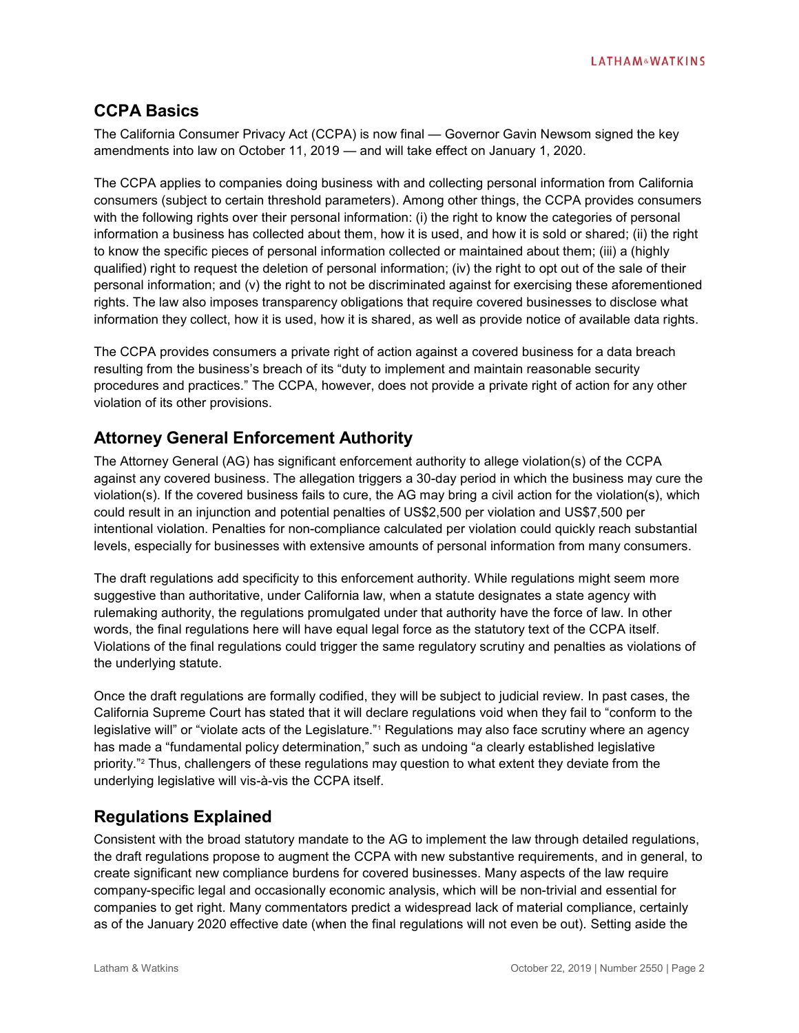# **CCPA Basics**

The California Consumer Privacy Act (CCPA) is now final — Governor Gavin Newsom signed the key amendments into law on October 11, 2019 — and will take effect on January 1, 2020.

The CCPA applies to companies doing business with and collecting personal information from California consumers (subject to certain threshold parameters). Among other things, the CCPA provides consumers with the following rights over their personal information: (i) the right to know the categories of personal information a business has collected about them, how it is used, and how it is sold or shared; (ii) the right to know the specific pieces of personal information collected or maintained about them; (iii) a (highly qualified) right to request the deletion of personal information; (iv) the right to opt out of the sale of their personal information; and (v) the right to not be discriminated against for exercising these aforementioned rights. The law also imposes transparency obligations that require covered businesses to disclose what information they collect, how it is used, how it is shared, as well as provide notice of available data rights.

The CCPA provides consumers a private right of action against a covered business for a data breach resulting from the business's breach of its "duty to implement and maintain reasonable security procedures and practices." The CCPA, however, does not provide a private right of action for any other violation of its other provisions.

# **Attorney General Enforcement Authority**

The Attorney General (AG) has significant enforcement authority to allege violation(s) of the CCPA against any covered business. The allegation triggers a 30-day period in which the business may cure the violation(s). If the covered business fails to cure, the AG may bring a civil action for the violation(s), which could result in an injunction and potential penalties of US\$2,500 per violation and US\$7,500 per intentional violation. Penalties for non-compliance calculated per violation could quickly reach substantial levels, especially for businesses with extensive amounts of personal information from many consumers.

The draft regulations add specificity to this enforcement authority. While regulations might seem more suggestive than authoritative, under California law, when a statute designates a state agency with rulemaking authority, the regulations promulgated under that authority have the force of law. In other words, the final regulations here will have equal legal force as the statutory text of the CCPA itself. Violations of the final regulations could trigger the same regulatory scrutiny and penalties as violations of the underlying statute.

Once the draft regulations are formally codified, they will be subject to judicial review. In past cases, the California Supreme Court has stated that it will declare regulations void when they fail to "conform to the legislative will" or "violate acts of the Legislature."<sup>1</sup> Regulations may also face scrutiny where an agency has made a "fundamental policy determination," such as undoing "a clearly established legislative priority."<sup>2</sup> Thus, challengers of these regulations may question to what extent they deviate from the underlying legislative will vis-à-vis the CCPA itself.

# **Regulations Explained**

Consistent with the broad statutory mandate to the AG to implement the law through detailed regulations, the draft regulations propose to augment the CCPA with new substantive requirements, and in general, to create significant new compliance burdens for covered businesses. Many aspects of the law require company-specific legal and occasionally economic analysis, which will be non-trivial and essential for companies to get right. Many commentators predict a widespread lack of material compliance, certainly as of the January 2020 effective date (when the final regulations will not even be out). Setting aside the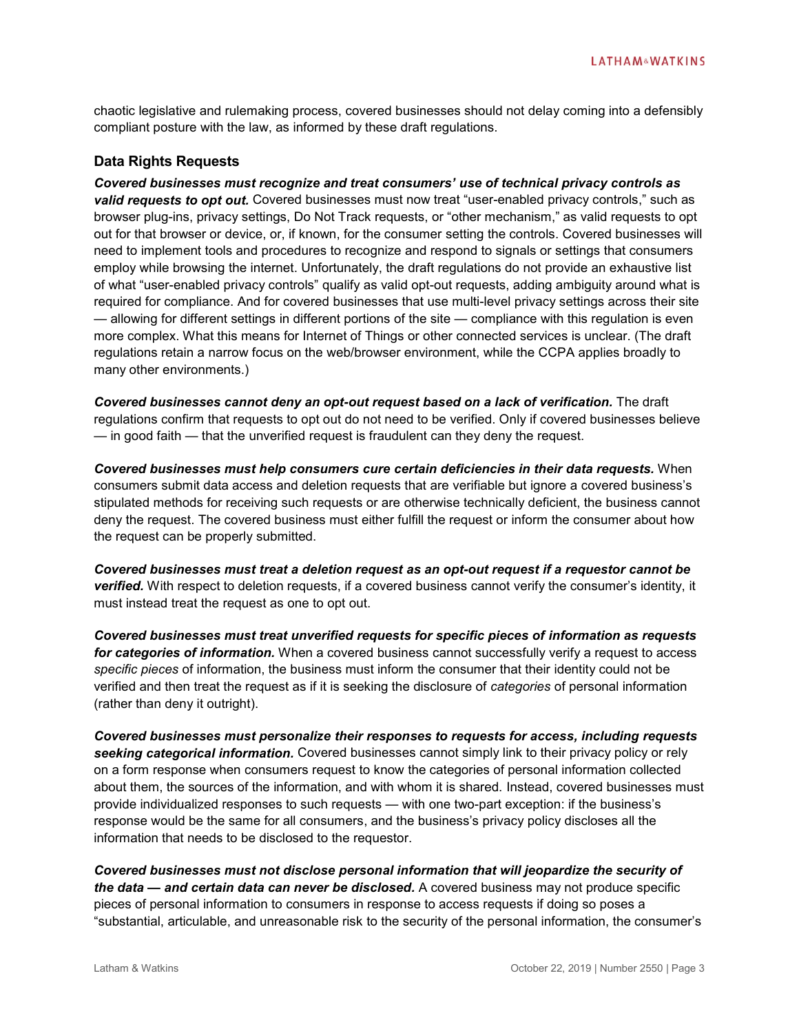chaotic legislative and rulemaking process, covered businesses should not delay coming into a defensibly compliant posture with the law, as informed by these draft regulations.

#### **Data Rights Requests**

*Covered businesses must recognize and treat consumers' use of technical privacy controls as valid requests to opt out.* Covered businesses must now treat "user-enabled privacy controls," such as browser plug-ins, privacy settings, Do Not Track requests, or "other mechanism," as valid requests to opt out for that browser or device, or, if known, for the consumer setting the controls. Covered businesses will need to implement tools and procedures to recognize and respond to signals or settings that consumers employ while browsing the internet. Unfortunately, the draft regulations do not provide an exhaustive list of what "user-enabled privacy controls" qualify as valid opt-out requests, adding ambiguity around what is required for compliance. And for covered businesses that use multi-level privacy settings across their site — allowing for different settings in different portions of the site — compliance with this regulation is even more complex. What this means for Internet of Things or other connected services is unclear. (The draft regulations retain a narrow focus on the web/browser environment, while the CCPA applies broadly to many other environments.)

*Covered businesses cannot deny an opt-out request based on a lack of verification.* The draft regulations confirm that requests to opt out do not need to be verified. Only if covered businesses believe — in good faith — that the unverified request is fraudulent can they deny the request.

*Covered businesses must help consumers cure certain deficiencies in their data requests.* When consumers submit data access and deletion requests that are verifiable but ignore a covered business's stipulated methods for receiving such requests or are otherwise technically deficient, the business cannot deny the request. The covered business must either fulfill the request or inform the consumer about how the request can be properly submitted.

*Covered businesses must treat a deletion request as an opt-out request if a requestor cannot be verified.* With respect to deletion requests, if a covered business cannot verify the consumer's identity, it must instead treat the request as one to opt out.

*Covered businesses must treat unverified requests for specific pieces of information as requests for categories of information.* When a covered business cannot successfully verify a request to access *specific pieces* of information, the business must inform the consumer that their identity could not be verified and then treat the request as if it is seeking the disclosure of *categories* of personal information (rather than deny it outright).

*Covered businesses must personalize their responses to requests for access, including requests seeking categorical information.* Covered businesses cannot simply link to their privacy policy or rely on a form response when consumers request to know the categories of personal information collected about them, the sources of the information, and with whom it is shared. Instead, covered businesses must provide individualized responses to such requests — with one two-part exception: if the business's response would be the same for all consumers, and the business's privacy policy discloses all the information that needs to be disclosed to the requestor.

*Covered businesses must not disclose personal information that will jeopardize the security of the data — and certain data can never be disclosed.* A covered business may not produce specific pieces of personal information to consumers in response to access requests if doing so poses a "substantial, articulable, and unreasonable risk to the security of the personal information, the consumer's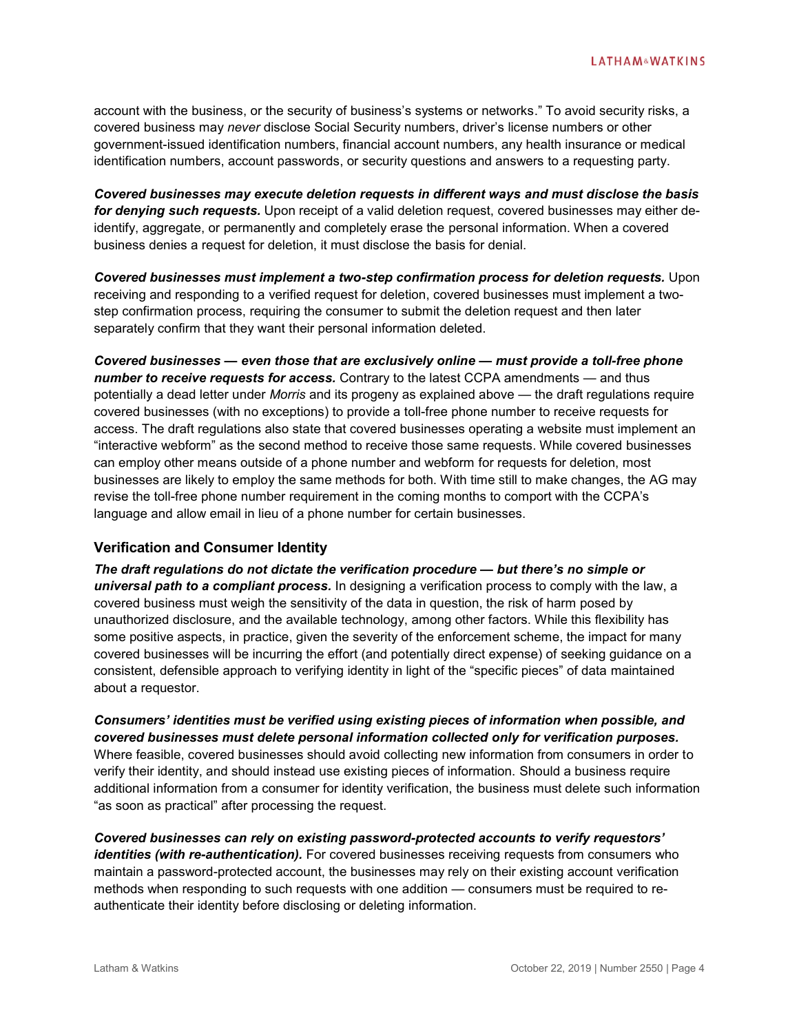account with the business, or the security of business's systems or networks." To avoid security risks, a covered business may *never* disclose Social Security numbers, driver's license numbers or other government-issued identification numbers, financial account numbers, any health insurance or medical identification numbers, account passwords, or security questions and answers to a requesting party.

*Covered businesses may execute deletion requests in different ways and must disclose the basis for denying such requests.* Upon receipt of a valid deletion request, covered businesses may either deidentify, aggregate, or permanently and completely erase the personal information. When a covered business denies a request for deletion, it must disclose the basis for denial.

*Covered businesses must implement a two-step confirmation process for deletion requests.* Upon receiving and responding to a verified request for deletion, covered businesses must implement a twostep confirmation process, requiring the consumer to submit the deletion request and then later separately confirm that they want their personal information deleted.

*Covered businesses — even those that are exclusively online — must provide a toll-free phone number to receive requests for access.* Contrary to the latest CCPA amendments — and thus potentially a dead letter under *Morris* and its progeny as explained above — the draft regulations require covered businesses (with no exceptions) to provide a toll-free phone number to receive requests for access. The draft regulations also state that covered businesses operating a website must implement an "interactive webform" as the second method to receive those same requests. While covered businesses can employ other means outside of a phone number and webform for requests for deletion, most businesses are likely to employ the same methods for both. With time still to make changes, the AG may revise the toll-free phone number requirement in the coming months to comport with the CCPA's language and allow email in lieu of a phone number for certain businesses.

#### **Verification and Consumer Identity**

*The draft regulations do not dictate the verification procedure — but there's no simple or universal path to a compliant process.* In designing a verification process to comply with the law, a covered business must weigh the sensitivity of the data in question, the risk of harm posed by unauthorized disclosure, and the available technology, among other factors. While this flexibility has some positive aspects, in practice, given the severity of the enforcement scheme, the impact for many covered businesses will be incurring the effort (and potentially direct expense) of seeking guidance on a consistent, defensible approach to verifying identity in light of the "specific pieces" of data maintained about a requestor.

*Consumers' identities must be verified using existing pieces of information when possible, and covered businesses must delete personal information collected only for verification purposes.* Where feasible, covered businesses should avoid collecting new information from consumers in order to verify their identity, and should instead use existing pieces of information. Should a business require additional information from a consumer for identity verification, the business must delete such information "as soon as practical" after processing the request.

*Covered businesses can rely on existing password-protected accounts to verify requestors' identities (with re-authentication).* For covered businesses receiving requests from consumers who maintain a password-protected account, the businesses may rely on their existing account verification methods when responding to such requests with one addition — consumers must be required to reauthenticate their identity before disclosing or deleting information.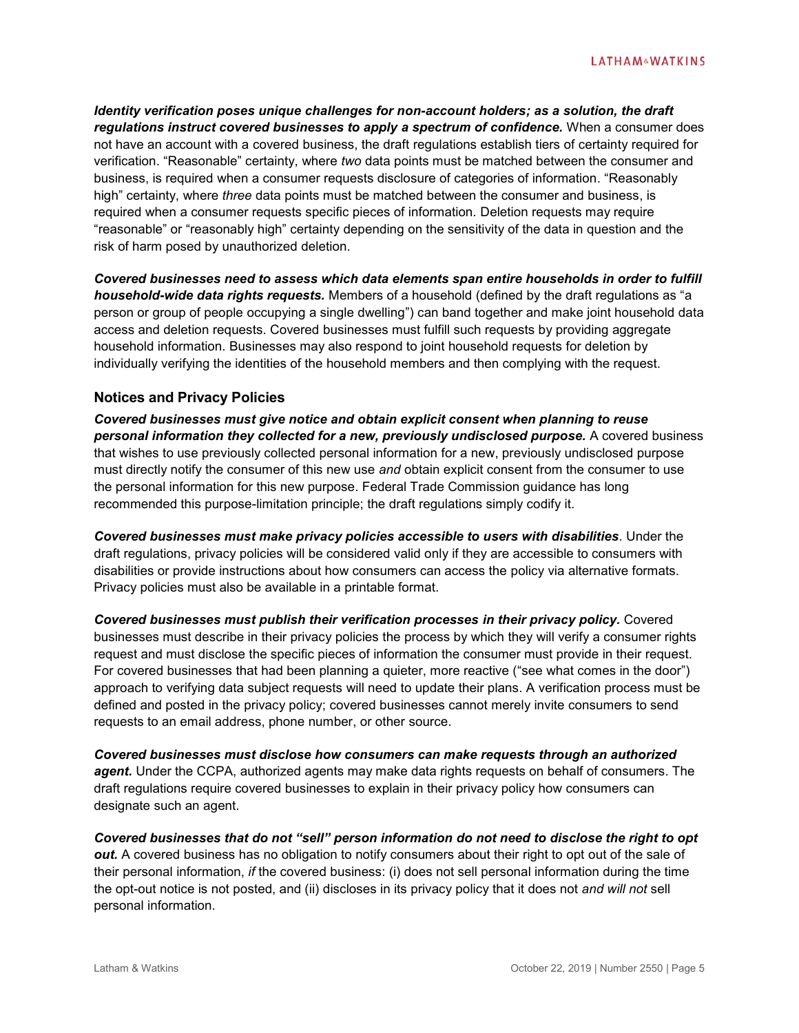*Identity verification poses unique challenges for non-account holders; as a solution, the draft regulations instruct covered businesses to apply a spectrum of confidence.* When a consumer does not have an account with a covered business, the draft regulations establish tiers of certainty required for verification. "Reasonable" certainty, where *two* data points must be matched between the consumer and business, is required when a consumer requests disclosure of categories of information. "Reasonably high" certainty, where *three* data points must be matched between the consumer and business, is required when a consumer requests specific pieces of information. Deletion requests may require "reasonable" or "reasonably high" certainty depending on the sensitivity of the data in question and the risk of harm posed by unauthorized deletion.

*Covered businesses need to assess which data elements span entire households in order to fulfill household-wide data rights requests.* Members of a household (defined by the draft regulations as "a person or group of people occupying a single dwelling") can band together and make joint household data access and deletion requests. Covered businesses must fulfill such requests by providing aggregate household information. Businesses may also respond to joint household requests for deletion by individually verifying the identities of the household members and then complying with the request.

#### **Notices and Privacy Policies**

*Covered businesses must give notice and obtain explicit consent when planning to reuse personal information they collected for a new, previously undisclosed purpose.* A covered business that wishes to use previously collected personal information for a new, previously undisclosed purpose must directly notify the consumer of this new use *and* obtain explicit consent from the consumer to use the personal information for this new purpose. Federal Trade Commission guidance has long recommended this purpose-limitation principle; the draft regulations simply codify it.

*Covered businesses must make privacy policies accessible to users with disabilities*. Under the draft regulations, privacy policies will be considered valid only if they are accessible to consumers with disabilities or provide instructions about how consumers can access the policy via alternative formats. Privacy policies must also be available in a printable format.

*Covered businesses must publish their verification processes in their privacy policy.* Covered businesses must describe in their privacy policies the process by which they will verify a consumer rights request and must disclose the specific pieces of information the consumer must provide in their request. For covered businesses that had been planning a quieter, more reactive ("see what comes in the door") approach to verifying data subject requests will need to update their plans. A verification process must be defined and posted in the privacy policy; covered businesses cannot merely invite consumers to send requests to an email address, phone number, or other source.

*Covered businesses must disclose how consumers can make requests through an authorized agent.* Under the CCPA, authorized agents may make data rights requests on behalf of consumers. The draft regulations require covered businesses to explain in their privacy policy how consumers can designate such an agent.

*Covered businesses that do not "sell" person information do not need to disclose the right to opt out.* A covered business has no obligation to notify consumers about their right to opt out of the sale of their personal information, *if* the covered business: (i) does not sell personal information during the time the opt-out notice is not posted, and (ii) discloses in its privacy policy that it does not *and will not* sell personal information.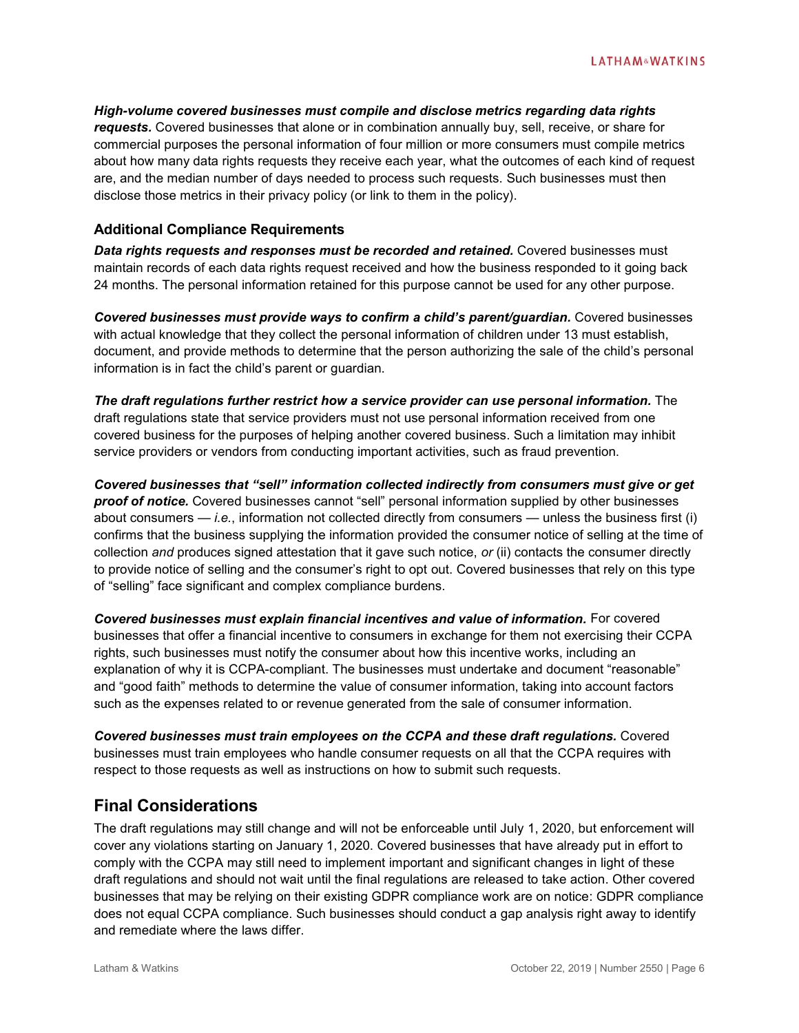*High-volume covered businesses must compile and disclose metrics regarding data rights requests.* Covered businesses that alone or in combination annually buy, sell, receive, or share for commercial purposes the personal information of four million or more consumers must compile metrics about how many data rights requests they receive each year, what the outcomes of each kind of request are, and the median number of days needed to process such requests. Such businesses must then disclose those metrics in their privacy policy (or link to them in the policy).

#### **Additional Compliance Requirements**

*Data rights requests and responses must be recorded and retained.* Covered businesses must maintain records of each data rights request received and how the business responded to it going back 24 months. The personal information retained for this purpose cannot be used for any other purpose.

*Covered businesses must provide ways to confirm a child's parent/guardian.* Covered businesses with actual knowledge that they collect the personal information of children under 13 must establish, document, and provide methods to determine that the person authorizing the sale of the child's personal information is in fact the child's parent or guardian.

*The draft regulations further restrict how a service provider can use personal information.* The draft regulations state that service providers must not use personal information received from one covered business for the purposes of helping another covered business. Such a limitation may inhibit service providers or vendors from conducting important activities, such as fraud prevention.

*Covered businesses that "sell" information collected indirectly from consumers must give or get proof of notice.* Covered businesses cannot "sell" personal information supplied by other businesses about consumers — *i.e.*, information not collected directly from consumers — unless the business first (i) confirms that the business supplying the information provided the consumer notice of selling at the time of collection *and* produces signed attestation that it gave such notice, *or* (ii) contacts the consumer directly to provide notice of selling and the consumer's right to opt out. Covered businesses that rely on this type of "selling" face significant and complex compliance burdens.

*Covered businesses must explain financial incentives and value of information.* For covered businesses that offer a financial incentive to consumers in exchange for them not exercising their CCPA rights, such businesses must notify the consumer about how this incentive works, including an explanation of why it is CCPA-compliant. The businesses must undertake and document "reasonable" and "good faith" methods to determine the value of consumer information, taking into account factors such as the expenses related to or revenue generated from the sale of consumer information.

*Covered businesses must train employees on the CCPA and these draft regulations.* Covered businesses must train employees who handle consumer requests on all that the CCPA requires with respect to those requests as well as instructions on how to submit such requests.

# **Final Considerations**

The draft regulations may still change and will not be enforceable until July 1, 2020, but enforcement will cover any violations starting on January 1, 2020. Covered businesses that have already put in effort to comply with the CCPA may still need to implement important and significant changes in light of these draft regulations and should not wait until the final regulations are released to take action. Other covered businesses that may be relying on their existing GDPR compliance work are on notice: GDPR compliance does not equal CCPA compliance. Such businesses should conduct a gap analysis right away to identify and remediate where the laws differ.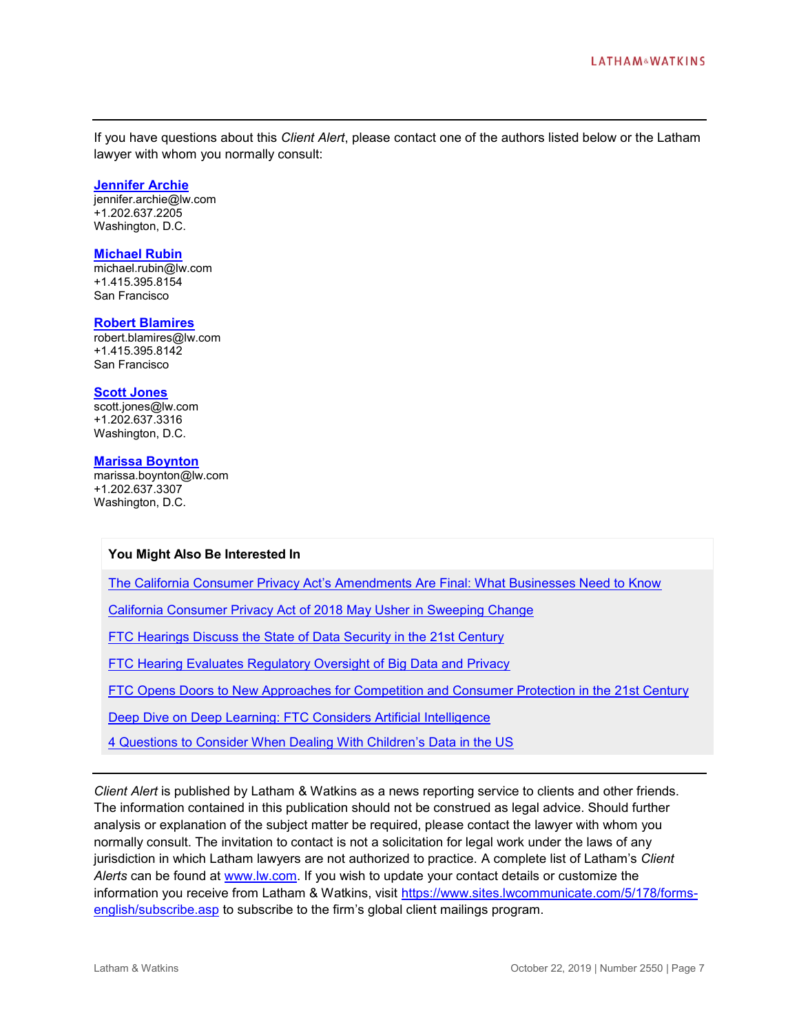If you have questions about this *Client Alert*, please contact one of the authors listed below or the Latham lawyer with whom you normally consult:

#### **[Jennifer Archie](https://www.lw.com/people/jennifer-archie)**

jennifer.archie@lw.com +1.202.637.2205 Washington, D.C.

#### **[Michael Rubin](https://www.lw.com/people/michael-rubin)**

michael.rubin@lw.com +1.415.395.8154 San Francisco

#### **[Robert Blamires](https://www.lw.com/people/robert-blamires)**

robert.blamires@lw.com +1.415.395.8142 San Francisco

#### **[Scott Jones](https://www.lw.com/people/scott-jones)**

scott.jones@lw.com +1.202.637.3316 Washington, D.C.

#### **[Marissa Boynton](https://www.lw.com/people/marissa-boynton)**

marissa.boynton@lw.com +1.202.637.3307 Washington, D.C.

#### **You Might Also Be Interested In**

[The California Consumer Privacy Act's Amendments Are Final: What Businesses Need to Know](https://www.lw.com/thoughtLeadership/california-consumer-privacy-act-amendments-are-final-what-businesses-need-to-know)

[California Consumer Privacy Act of 2018 May Usher in Sweeping Change](https://www.globalprivacyblog.com/legislative-regulatory-developments/california-consumer-privacy-act-of-2018-may-usher-in-sweeping-change/)

[FTC Hearings Discuss the State of Data Security in the 21st Century](https://www.lw.com/thoughtLeadership/FTC-Hearings-Data-Security-21st-Century)

[FTC Hearing Evaluates Regulatory Oversight of Big Data and Privacy](https://www.lw.com/thoughtLeadership/FTC-hearing-regulatory-oversight-big-data-privacy)

[FTC Opens Doors to New Approaches for Competition and Consumer Protection in the](https://m.lw.com/thoughtLeadership/lw-ftc-doors-minds-competition-consumer-protection-21st-century) 21st Century

[Deep Dive on Deep Learning: FTC Considers Artificial Intelligence](file:///C:/Users/sphythia/Local%20Data/Outlook/Temp/Deep%20Dive%20on%20Deep%20Learning:%20FTC%20Considers%20Artificial%20Intelligence)

[4 Questions to Consider When Dealing With Children's Data in the US](https://www.globalprivacyblog.com/gdpr/4-questions-to-consider-when-dealing-with-childrens-data-in-the-us/)

*Client Alert* is published by Latham & Watkins as a news reporting service to clients and other friends. The information contained in this publication should not be construed as legal advice. Should further analysis or explanation of the subject matter be required, please contact the lawyer with whom you normally consult. The invitation to contact is not a solicitation for legal work under the laws of any jurisdiction in which Latham lawyers are not authorized to practice. A complete list of Latham's *Client Alerts* can be found at [www.lw.com.](http://www.lw.com/) If you wish to update your contact details or customize the information you receive from Latham & Watkins, visit [https://www.sites.lwcommunicate.com/5/178/forms](https://www.sites.lwcommunicate.com/5/178/forms-english/subscribe.asp)[english/subscribe.asp](https://www.sites.lwcommunicate.com/5/178/forms-english/subscribe.asp) to subscribe to the firm's global client mailings program.